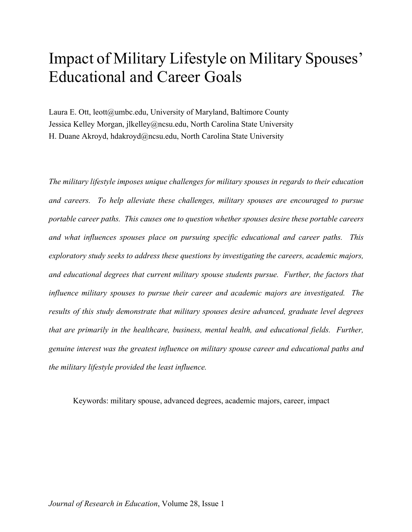# Impact of Military Lifestyle on Military Spouses' Educational and Career Goals

Laura E. Ott, leott@umbc.edu, University of Maryland, Baltimore County Jessica Kelley Morgan, jlkelley@ncsu.edu, North Carolina State University H. Duane Akroyd, hdakroyd@ncsu.edu, North Carolina State University

*The military lifestyle imposes unique challenges for military spouses in regards to their education and careers. To help alleviate these challenges, military spouses are encouraged to pursue portable career paths. This causes one to question whether spouses desire these portable careers and what influences spouses place on pursuing specific educational and career paths. This exploratory study seeks to address these questions by investigating the careers, academic majors, and educational degrees that current military spouse students pursue. Further, the factors that influence military spouses to pursue their career and academic majors are investigated. The results of this study demonstrate that military spouses desire advanced, graduate level degrees that are primarily in the healthcare, business, mental health, and educational fields. Further, genuine interest was the greatest influence on military spouse career and educational paths and the military lifestyle provided the least influence.* 

Keywords: military spouse, advanced degrees, academic majors, career, impact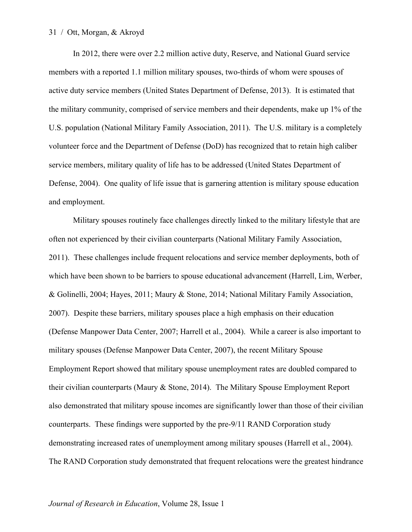#### 31 / Ott, Morgan, & Akroyd

In 2012, there were over 2.2 million active duty, Reserve, and National Guard service members with a reported 1.1 million military spouses, two-thirds of whom were spouses of active duty service members (United States Department of Defense, 2013). It is estimated that the military community, comprised of service members and their dependents, make up 1% of the U.S. population (National Military Family Association, 2011). The U.S. military is a completely volunteer force and the Department of Defense (DoD) has recognized that to retain high caliber service members, military quality of life has to be addressed (United States Department of Defense, 2004). One quality of life issue that is garnering attention is military spouse education and employment.

Military spouses routinely face challenges directly linked to the military lifestyle that are often not experienced by their civilian counterparts (National Military Family Association, 2011). These challenges include frequent relocations and service member deployments, both of which have been shown to be barriers to spouse educational advancement (Harrell, Lim, Werber, & Golinelli, 2004; Hayes, 2011; Maury & Stone, 2014; National Military Family Association, 2007). Despite these barriers, military spouses place a high emphasis on their education (Defense Manpower Data Center, 2007; Harrell et al., 2004). While a career is also important to military spouses (Defense Manpower Data Center, 2007), the recent Military Spouse Employment Report showed that military spouse unemployment rates are doubled compared to their civilian counterparts (Maury & Stone, 2014). The Military Spouse Employment Report also demonstrated that military spouse incomes are significantly lower than those of their civilian counterparts. These findings were supported by the pre-9/11 RAND Corporation study demonstrating increased rates of unemployment among military spouses (Harrell et al., 2004). The RAND Corporation study demonstrated that frequent relocations were the greatest hindrance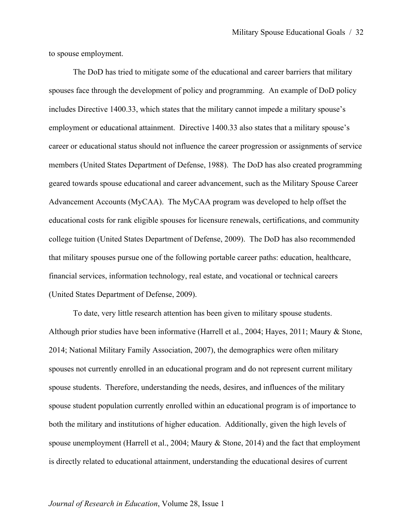to spouse employment.

The DoD has tried to mitigate some of the educational and career barriers that military spouses face through the development of policy and programming. An example of DoD policy includes Directive 1400.33, which states that the military cannot impede a military spouse's employment or educational attainment. Directive 1400.33 also states that a military spouse's career or educational status should not influence the career progression or assignments of service members (United States Department of Defense, 1988). The DoD has also created programming geared towards spouse educational and career advancement, such as the Military Spouse Career Advancement Accounts (MyCAA). The MyCAA program was developed to help offset the educational costs for rank eligible spouses for licensure renewals, certifications, and community college tuition (United States Department of Defense, 2009). The DoD has also recommended that military spouses pursue one of the following portable career paths: education, healthcare, financial services, information technology, real estate, and vocational or technical careers (United States Department of Defense, 2009).

To date, very little research attention has been given to military spouse students. Although prior studies have been informative (Harrell et al., 2004; Hayes, 2011; Maury & Stone, 2014; National Military Family Association, 2007), the demographics were often military spouses not currently enrolled in an educational program and do not represent current military spouse students. Therefore, understanding the needs, desires, and influences of the military spouse student population currently enrolled within an educational program is of importance to both the military and institutions of higher education. Additionally, given the high levels of spouse unemployment (Harrell et al., 2004; Maury & Stone, 2014) and the fact that employment is directly related to educational attainment, understanding the educational desires of current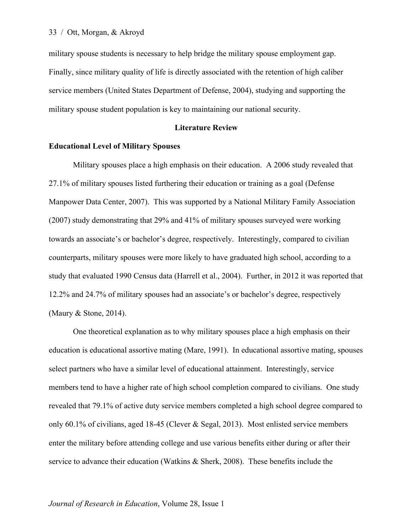military spouse students is necessary to help bridge the military spouse employment gap. Finally, since military quality of life is directly associated with the retention of high caliber service members (United States Department of Defense, 2004), studying and supporting the military spouse student population is key to maintaining our national security.

#### **Literature Review**

#### **Educational Level of Military Spouses**

Military spouses place a high emphasis on their education. A 2006 study revealed that 27.1% of military spouses listed furthering their education or training as a goal (Defense Manpower Data Center, 2007). This was supported by a National Military Family Association (2007) study demonstrating that 29% and 41% of military spouses surveyed were working towards an associate's or bachelor's degree, respectively. Interestingly, compared to civilian counterparts, military spouses were more likely to have graduated high school, according to a study that evaluated 1990 Census data (Harrell et al., 2004). Further, in 2012 it was reported that 12.2% and 24.7% of military spouses had an associate's or bachelor's degree, respectively (Maury & Stone, 2014).

One theoretical explanation as to why military spouses place a high emphasis on their education is educational assortive mating (Mare, 1991). In educational assortive mating, spouses select partners who have a similar level of educational attainment. Interestingly, service members tend to have a higher rate of high school completion compared to civilians. One study revealed that 79.1% of active duty service members completed a high school degree compared to only 60.1% of civilians, aged 18-45 (Clever & Segal, 2013). Most enlisted service members enter the military before attending college and use various benefits either during or after their service to advance their education (Watkins & Sherk, 2008). These benefits include the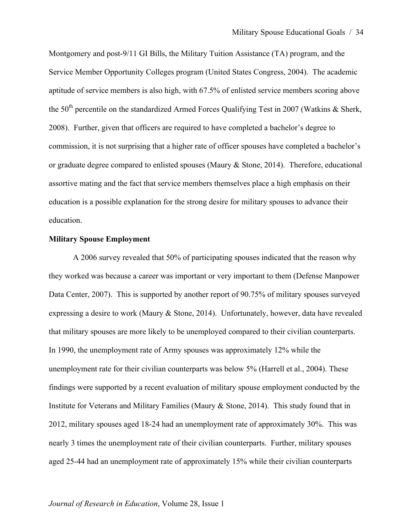Montgomery and post-9/11 GI Bills, the Military Tuition Assistance (TA) program, and the Service Member Opportunity Colleges program (United States Congress, 2004). The academic aptitude of service members is also high, with 67.5% of enlisted service members scoring above the  $50<sup>th</sup>$  percentile on the standardized Armed Forces Qualifying Test in 2007 (Watkins & Sherk, 2008). Further, given that officers are required to have completed a bachelor's degree to commission, it is not surprising that a higher rate of officer spouses have completed a bachelor's or graduate degree compared to enlisted spouses (Maury & Stone, 2014). Therefore, educational assortive mating and the fact that service members themselves place a high emphasis on their education is a possible explanation for the strong desire for military spouses to advance their education.

#### **Military Spouse Employment**

A 2006 survey revealed that 50% of participating spouses indicated that the reason why they worked was because a career was important or very important to them (Defense Manpower Data Center, 2007). This is supported by another report of 90.75% of military spouses surveyed expressing a desire to work (Maury & Stone, 2014). Unfortunately, however, data have revealed that military spouses are more likely to be unemployed compared to their civilian counterparts. In 1990, the unemployment rate of Army spouses was approximately 12% while the unemployment rate for their civilian counterparts was below 5% (Harrell et al., 2004). These findings were supported by a recent evaluation of military spouse employment conducted by the Institute for Veterans and Military Families (Maury & Stone, 2014). This study found that in 2012, military spouses aged 18-24 had an unemployment rate of approximately 30%. This was nearly 3 times the unemployment rate of their civilian counterparts. Further, military spouses aged 25-44 had an unemployment rate of approximately 15% while their civilian counterparts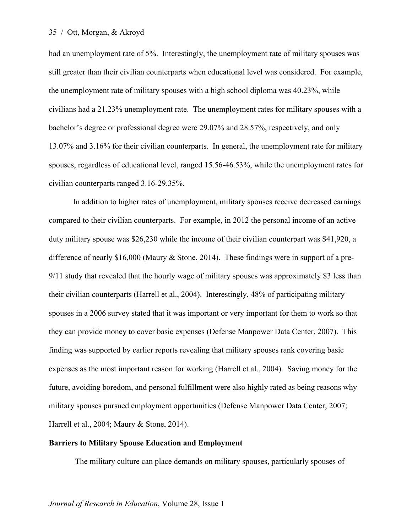#### 35 / Ott, Morgan, & Akroyd

had an unemployment rate of 5%. Interestingly, the unemployment rate of military spouses was still greater than their civilian counterparts when educational level was considered. For example, the unemployment rate of military spouses with a high school diploma was 40.23%, while civilians had a 21.23% unemployment rate. The unemployment rates for military spouses with a bachelor's degree or professional degree were 29.07% and 28.57%, respectively, and only 13.07% and 3.16% for their civilian counterparts. In general, the unemployment rate for military spouses, regardless of educational level, ranged 15.56-46.53%, while the unemployment rates for civilian counterparts ranged 3.16-29.35%.

In addition to higher rates of unemployment, military spouses receive decreased earnings compared to their civilian counterparts. For example, in 2012 the personal income of an active duty military spouse was \$26,230 while the income of their civilian counterpart was \$41,920, a difference of nearly \$16,000 (Maury & Stone, 2014). These findings were in support of a pre-9/11 study that revealed that the hourly wage of military spouses was approximately \$3 less than their civilian counterparts (Harrell et al., 2004). Interestingly, 48% of participating military spouses in a 2006 survey stated that it was important or very important for them to work so that they can provide money to cover basic expenses (Defense Manpower Data Center, 2007). This finding was supported by earlier reports revealing that military spouses rank covering basic expenses as the most important reason for working (Harrell et al., 2004). Saving money for the future, avoiding boredom, and personal fulfillment were also highly rated as being reasons why military spouses pursued employment opportunities (Defense Manpower Data Center, 2007; Harrell et al., 2004; Maury & Stone, 2014).

## **Barriers to Military Spouse Education and Employment**

The military culture can place demands on military spouses, particularly spouses of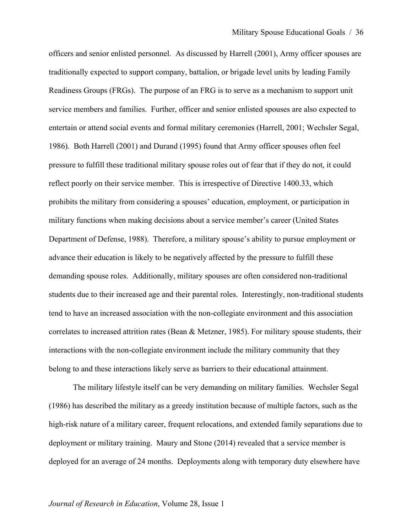officers and senior enlisted personnel. As discussed by Harrell (2001), Army officer spouses are traditionally expected to support company, battalion, or brigade level units by leading Family Readiness Groups (FRGs). The purpose of an FRG is to serve as a mechanism to support unit service members and families. Further, officer and senior enlisted spouses are also expected to entertain or attend social events and formal military ceremonies (Harrell, 2001; Wechsler Segal, 1986). Both Harrell (2001) and Durand (1995) found that Army officer spouses often feel pressure to fulfill these traditional military spouse roles out of fear that if they do not, it could reflect poorly on their service member. This is irrespective of Directive 1400.33, which prohibits the military from considering a spouses' education, employment, or participation in military functions when making decisions about a service member's career (United States Department of Defense, 1988). Therefore, a military spouse's ability to pursue employment or advance their education is likely to be negatively affected by the pressure to fulfill these demanding spouse roles. Additionally, military spouses are often considered non-traditional students due to their increased age and their parental roles. Interestingly, non-traditional students tend to have an increased association with the non-collegiate environment and this association correlates to increased attrition rates (Bean & Metzner, 1985). For military spouse students, their interactions with the non-collegiate environment include the military community that they belong to and these interactions likely serve as barriers to their educational attainment.

The military lifestyle itself can be very demanding on military families. Wechsler Segal (1986) has described the military as a greedy institution because of multiple factors, such as the high-risk nature of a military career, frequent relocations, and extended family separations due to deployment or military training. Maury and Stone (2014) revealed that a service member is deployed for an average of 24 months. Deployments along with temporary duty elsewhere have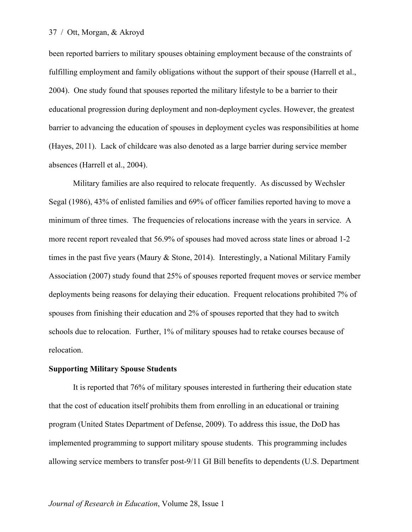#### 37 / Ott, Morgan, & Akroyd

been reported barriers to military spouses obtaining employment because of the constraints of fulfilling employment and family obligations without the support of their spouse (Harrell et al., 2004). One study found that spouses reported the military lifestyle to be a barrier to their educational progression during deployment and non-deployment cycles. However, the greatest barrier to advancing the education of spouses in deployment cycles was responsibilities at home (Hayes, 2011). Lack of childcare was also denoted as a large barrier during service member absences (Harrell et al., 2004).

Military families are also required to relocate frequently. As discussed by Wechsler Segal (1986), 43% of enlisted families and 69% of officer families reported having to move a minimum of three times. The frequencies of relocations increase with the years in service. A more recent report revealed that 56.9% of spouses had moved across state lines or abroad 1-2 times in the past five years (Maury & Stone, 2014). Interestingly, a National Military Family Association (2007) study found that 25% of spouses reported frequent moves or service member deployments being reasons for delaying their education. Frequent relocations prohibited 7% of spouses from finishing their education and 2% of spouses reported that they had to switch schools due to relocation. Further, 1% of military spouses had to retake courses because of relocation.

### **Supporting Military Spouse Students**

It is reported that 76% of military spouses interested in furthering their education state that the cost of education itself prohibits them from enrolling in an educational or training program (United States Department of Defense, 2009). To address this issue, the DoD has implemented programming to support military spouse students. This programming includes allowing service members to transfer post-9/11 GI Bill benefits to dependents (U.S. Department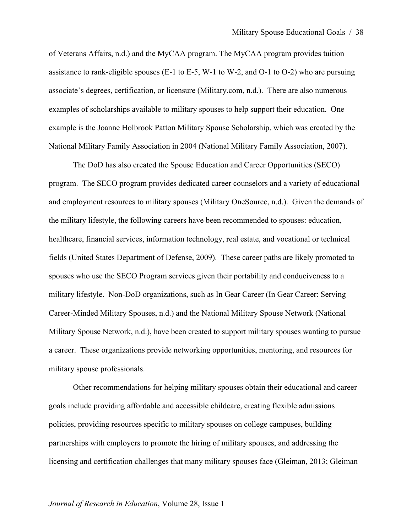of Veterans Affairs, n.d.) and the MyCAA program. The MyCAA program provides tuition assistance to rank-eligible spouses (E-1 to E-5, W-1 to W-2, and O-1 to O-2) who are pursuing associate's degrees, certification, or licensure (Military.com, n.d.). There are also numerous examples of scholarships available to military spouses to help support their education. One example is the Joanne Holbrook Patton Military Spouse Scholarship, which was created by the National Military Family Association in 2004 (National Military Family Association, 2007).

The DoD has also created the Spouse Education and Career Opportunities (SECO) program. The SECO program provides dedicated career counselors and a variety of educational and employment resources to military spouses (Military OneSource, n.d.). Given the demands of the military lifestyle, the following careers have been recommended to spouses: education, healthcare, financial services, information technology, real estate, and vocational or technical fields (United States Department of Defense, 2009). These career paths are likely promoted to spouses who use the SECO Program services given their portability and conduciveness to a military lifestyle. Non-DoD organizations, such as In Gear Career (In Gear Career: Serving Career-Minded Military Spouses, n.d.) and the National Military Spouse Network (National Military Spouse Network, n.d.), have been created to support military spouses wanting to pursue a career. These organizations provide networking opportunities, mentoring, and resources for military spouse professionals.

Other recommendations for helping military spouses obtain their educational and career goals include providing affordable and accessible childcare, creating flexible admissions policies, providing resources specific to military spouses on college campuses, building partnerships with employers to promote the hiring of military spouses, and addressing the licensing and certification challenges that many military spouses face (Gleiman, 2013; Gleiman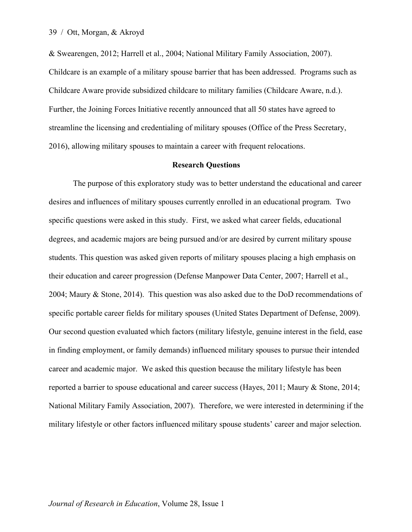& Swearengen, 2012; Harrell et al., 2004; National Military Family Association, 2007). Childcare is an example of a military spouse barrier that has been addressed. Programs such as Childcare Aware provide subsidized childcare to military families (Childcare Aware, n.d.). Further, the Joining Forces Initiative recently announced that all 50 states have agreed to streamline the licensing and credentialing of military spouses (Office of the Press Secretary, 2016), allowing military spouses to maintain a career with frequent relocations.

#### **Research Questions**

The purpose of this exploratory study was to better understand the educational and career desires and influences of military spouses currently enrolled in an educational program. Two specific questions were asked in this study. First, we asked what career fields, educational degrees, and academic majors are being pursued and/or are desired by current military spouse students. This question was asked given reports of military spouses placing a high emphasis on their education and career progression (Defense Manpower Data Center, 2007; Harrell et al., 2004; Maury & Stone, 2014). This question was also asked due to the DoD recommendations of specific portable career fields for military spouses (United States Department of Defense, 2009). Our second question evaluated which factors (military lifestyle, genuine interest in the field, ease in finding employment, or family demands) influenced military spouses to pursue their intended career and academic major. We asked this question because the military lifestyle has been reported a barrier to spouse educational and career success (Hayes, 2011; Maury & Stone, 2014; National Military Family Association, 2007). Therefore, we were interested in determining if the military lifestyle or other factors influenced military spouse students' career and major selection.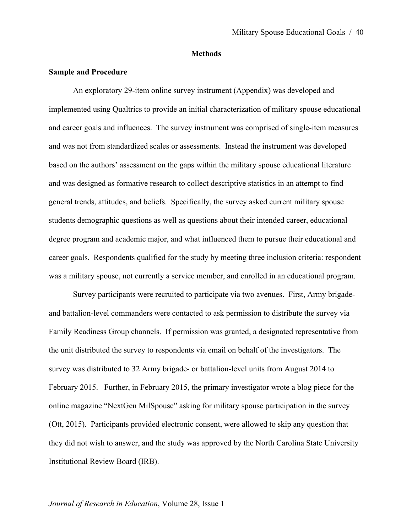#### **Methods**

#### **Sample and Procedure**

An exploratory 29-item online survey instrument (Appendix) was developed and implemented using Qualtrics to provide an initial characterization of military spouse educational and career goals and influences. The survey instrument was comprised of single-item measures and was not from standardized scales or assessments. Instead the instrument was developed based on the authors' assessment on the gaps within the military spouse educational literature and was designed as formative research to collect descriptive statistics in an attempt to find general trends, attitudes, and beliefs. Specifically, the survey asked current military spouse students demographic questions as well as questions about their intended career, educational degree program and academic major, and what influenced them to pursue their educational and career goals. Respondents qualified for the study by meeting three inclusion criteria: respondent was a military spouse, not currently a service member, and enrolled in an educational program.

Survey participants were recruited to participate via two avenues. First, Army brigadeand battalion-level commanders were contacted to ask permission to distribute the survey via Family Readiness Group channels. If permission was granted, a designated representative from the unit distributed the survey to respondents via email on behalf of the investigators. The survey was distributed to 32 Army brigade- or battalion-level units from August 2014 to February 2015. Further, in February 2015, the primary investigator wrote a blog piece for the online magazine "NextGen MilSpouse" asking for military spouse participation in the survey (Ott, 2015). Participants provided electronic consent, were allowed to skip any question that they did not wish to answer, and the study was approved by the North Carolina State University Institutional Review Board (IRB).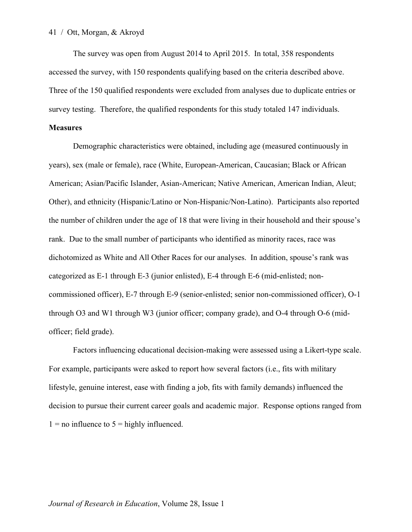The survey was open from August 2014 to April 2015. In total, 358 respondents accessed the survey, with 150 respondents qualifying based on the criteria described above. Three of the 150 qualified respondents were excluded from analyses due to duplicate entries or survey testing. Therefore, the qualified respondents for this study totaled 147 individuals.

#### **Measures**

Demographic characteristics were obtained, including age (measured continuously in years), sex (male or female), race (White, European-American, Caucasian; Black or African American; Asian/Pacific Islander, Asian-American; Native American, American Indian, Aleut; Other), and ethnicity (Hispanic/Latino or Non-Hispanic/Non-Latino). Participants also reported the number of children under the age of 18 that were living in their household and their spouse's rank. Due to the small number of participants who identified as minority races, race was dichotomized as White and All Other Races for our analyses. In addition, spouse's rank was categorized as E-1 through E-3 (junior enlisted), E-4 through E-6 (mid-enlisted; noncommissioned officer), E-7 through E-9 (senior-enlisted; senior non-commissioned officer), O-1 through O3 and W1 through W3 (junior officer; company grade), and O-4 through O-6 (midofficer; field grade).

Factors influencing educational decision-making were assessed using a Likert-type scale. For example, participants were asked to report how several factors (i.e., fits with military lifestyle, genuine interest, ease with finding a job, fits with family demands) influenced the decision to pursue their current career goals and academic major. Response options ranged from  $1 =$  no influence to  $5 =$  highly influenced.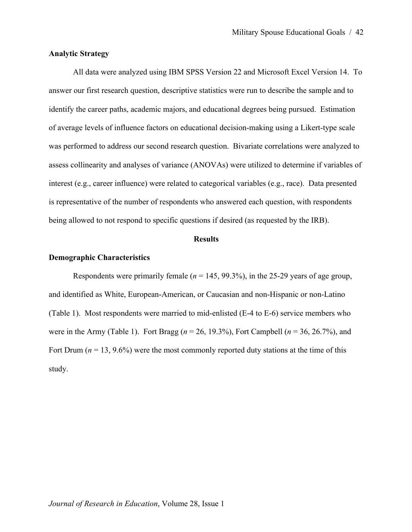## **Analytic Strategy**

All data were analyzed using IBM SPSS Version 22 and Microsoft Excel Version 14. To answer our first research question, descriptive statistics were run to describe the sample and to identify the career paths, academic majors, and educational degrees being pursued. Estimation of average levels of influence factors on educational decision-making using a Likert-type scale was performed to address our second research question. Bivariate correlations were analyzed to assess collinearity and analyses of variance (ANOVAs) were utilized to determine if variables of interest (e.g., career influence) were related to categorical variables (e.g., race). Data presented is representative of the number of respondents who answered each question, with respondents being allowed to not respond to specific questions if desired (as requested by the IRB).

#### **Results**

#### **Demographic Characteristics**

Respondents were primarily female ( $n = 145, 99.3\%$ ), in the 25-29 years of age group, and identified as White, European-American, or Caucasian and non-Hispanic or non-Latino (Table 1). Most respondents were married to mid-enlisted (E-4 to E-6) service members who were in the Army (Table 1). Fort Bragg (*n* = 26, 19.3%), Fort Campbell (*n* = 36, 26.7%), and Fort Drum  $(n = 13, 9.6\%)$  were the most commonly reported duty stations at the time of this study.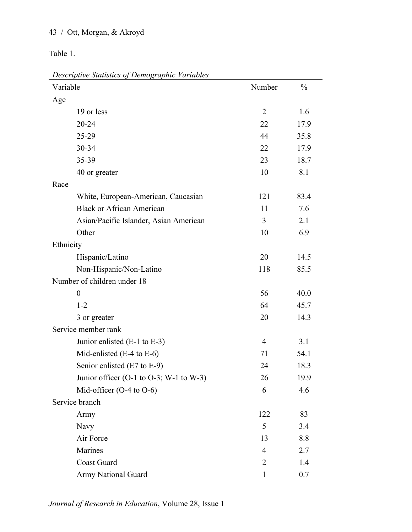# 43 / Ott, Morgan, & Akroyd

Table 1.

*Descriptive Statistics of Demographic Variables*

| Variable                                | Number         | $\frac{0}{0}$ |
|-----------------------------------------|----------------|---------------|
| Age                                     |                |               |
| 19 or less                              | $\overline{2}$ | 1.6           |
| 20-24                                   | 22             | 17.9          |
| 25-29                                   | 44             | 35.8          |
| 30-34                                   | 22             | 17.9          |
| 35-39                                   | 23             | 18.7          |
| 40 or greater                           | 10             | 8.1           |
| Race                                    |                |               |
| White, European-American, Caucasian     | 121            | 83.4          |
| <b>Black or African American</b>        | 11             | 7.6           |
| Asian/Pacific Islander, Asian American  | 3              | 2.1           |
| Other                                   | 10             | 6.9           |
| Ethnicity                               |                |               |
| Hispanic/Latino                         | 20             | 14.5          |
| Non-Hispanic/Non-Latino                 | 118            | 85.5          |
| Number of children under 18             |                |               |
| $\boldsymbol{0}$                        | 56             | 40.0          |
| $1 - 2$                                 | 64             | 45.7          |
| 3 or greater                            | 20             | 14.3          |
| Service member rank                     |                |               |
| Junior enlisted $(E-1$ to $E-3)$        | $\overline{4}$ | 3.1           |
| Mid-enlisted $(E-4$ to $E-6)$           | 71             | 54.1          |
| Senior enlisted (E7 to E-9)             | 24             | 18.3          |
| Junior officer (O-1 to O-3; W-1 to W-3) | 26             | 19.9          |
| Mid-officer $(O-4 \text{ to } O-6)$     | 6              | 4.6           |
| Service branch                          |                |               |
| Army                                    | 122            | 83            |
| <b>Navy</b>                             | 5              | 3.4           |
| Air Force                               | 13             | 8.8           |
| Marines                                 | $\overline{4}$ | 2.7           |
| <b>Coast Guard</b>                      | $\overline{2}$ | 1.4           |
| Army National Guard                     | 1              | 0.7           |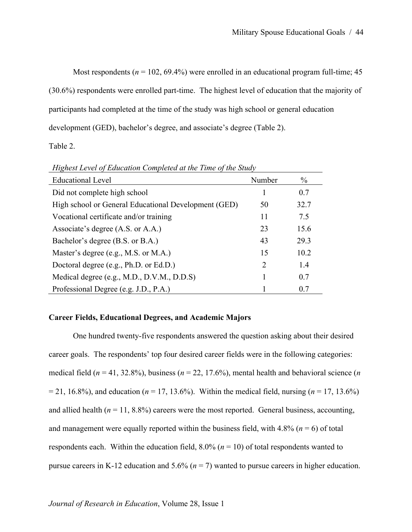Most respondents ( $n = 102, 69.4\%$ ) were enrolled in an educational program full-time; 45 (30.6%) respondents were enrolled part-time. The highest level of education that the majority of participants had completed at the time of the study was high school or general education development (GED), bachelor's degree, and associate's degree (Table 2).

Table 2.

| <b>Educational Level</b>                             | Number | $\%$ |
|------------------------------------------------------|--------|------|
| Did not complete high school                         |        | 0.7  |
| High school or General Educational Development (GED) | 50     | 32.7 |
| Vocational certificate and/or training               | 11     | 7.5  |
| Associate's degree (A.S. or A.A.)                    | 23     | 15.6 |
| Bachelor's degree (B.S. or B.A.)                     | 43     | 29.3 |
| Master's degree (e.g., M.S. or M.A.)                 | 15     | 10.2 |
| Doctoral degree (e.g., Ph.D. or Ed.D.)               | 2      | 1.4  |
| Medical degree (e.g., M.D., D.V.M., D.D.S)           |        | 0.7  |
| Professional Degree (e.g. J.D., P.A.)                |        | 0.7  |

*Highest Level of Education Completed at the Time of the Study* 

# **Career Fields, Educational Degrees, and Academic Majors**

One hundred twenty-five respondents answered the question asking about their desired career goals. The respondents' top four desired career fields were in the following categories: medical field (*n* = 41, 32.8%), business (*n* = 22, 17.6%), mental health and behavioral science (*n*  $= 21, 16.8\%$ ), and education ( $n = 17, 13.6\%$ ). Within the medical field, nursing ( $n = 17, 13.6\%$ ) and allied health  $(n = 11, 8.8\%)$  careers were the most reported. General business, accounting, and management were equally reported within the business field, with  $4.8\%$  ( $n = 6$ ) of total respondents each. Within the education field,  $8.0\%$  ( $n = 10$ ) of total respondents wanted to pursue careers in K-12 education and 5.6% (*n* = 7) wanted to pursue careers in higher education.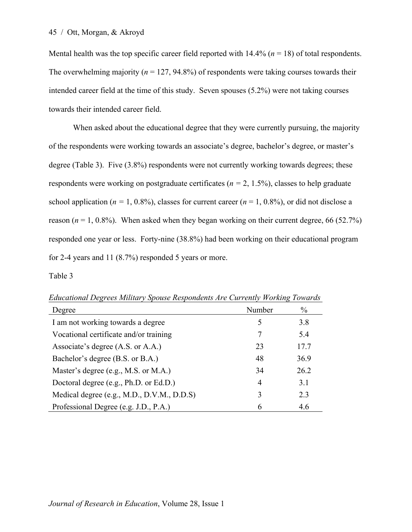Mental health was the top specific career field reported with  $14.4\%$  ( $n = 18$ ) of total respondents. The overwhelming majority ( $n = 127, 94.8\%$ ) of respondents were taking courses towards their intended career field at the time of this study. Seven spouses (5.2%) were not taking courses towards their intended career field.

When asked about the educational degree that they were currently pursuing, the majority of the respondents were working towards an associate's degree, bachelor's degree, or master's degree (Table 3). Five (3.8%) respondents were not currently working towards degrees; these respondents were working on postgraduate certificates (*n =* 2, 1.5%), classes to help graduate school application ( $n = 1, 0.8\%$ ), classes for current career ( $n = 1, 0.8\%$ ), or did not disclose a reason  $(n = 1, 0.8\%)$ . When asked when they began working on their current degree, 66 (52.7%) responded one year or less. Forty-nine (38.8%) had been working on their educational program for 2-4 years and 11 (8.7%) responded 5 years or more.

Table 3

| Degree                                     | Number | $\frac{0}{0}$ |
|--------------------------------------------|--------|---------------|
| I am not working towards a degree          | 5      | 3.8           |
| Vocational certificate and/or training     |        | 5.4           |
| Associate's degree (A.S. or A.A.)          | 23     | 17.7          |
| Bachelor's degree (B.S. or B.A.)           | 48     | 36.9          |
| Master's degree (e.g., M.S. or M.A.)       | 34     | 26.2          |
| Doctoral degree (e.g., Ph.D. or Ed.D.)     | 4      | 3.1           |
| Medical degree (e.g., M.D., D.V.M., D.D.S) | 3      | 2.3           |
| Professional Degree (e.g. J.D., P.A.)      | 6      | 4.6           |

*Educational Degrees Military Spouse Respondents Are Currently Working Towards*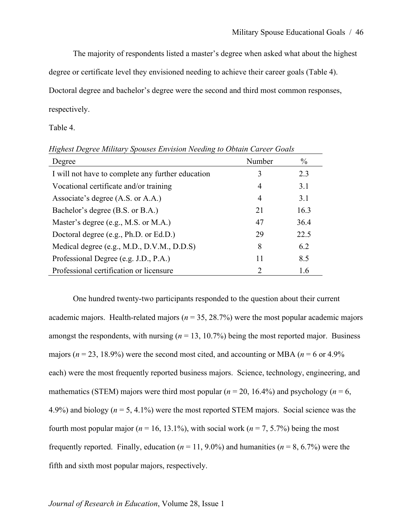The majority of respondents listed a master's degree when asked what about the highest

degree or certificate level they envisioned needing to achieve their career goals (Table 4).

Doctoral degree and bachelor's degree were the second and third most common responses,

respectively.

Table 4.

| Degree                                            | Number         | $\%$ |
|---------------------------------------------------|----------------|------|
| I will not have to complete any further education | 3              | 2.3  |
| Vocational certificate and/or training            | $\overline{4}$ | 3.1  |
| Associate's degree (A.S. or A.A.)                 | $\overline{4}$ | 3.1  |
| Bachelor's degree (B.S. or B.A.)                  | 21             | 16.3 |
| Master's degree (e.g., M.S. or M.A.)              | 47             | 36.4 |
| Doctoral degree (e.g., Ph.D. or Ed.D.)            | 29             | 22.5 |
| Medical degree (e.g., M.D., D.V.M., D.D.S)        | 8              | 6.2  |
| Professional Degree (e.g. J.D., P.A.)             | 11             | 8.5  |
| Professional certification or licensure           | $\mathcal{D}$  | 1.6  |

*Highest Degree Military Spouses Envision Needing to Obtain Career Goals* 

One hundred twenty-two participants responded to the question about their current academic majors. Health-related majors ( $n = 35, 28.7\%$ ) were the most popular academic majors amongst the respondents, with nursing  $(n = 13, 10.7%)$  being the most reported major. Business majors ( $n = 23$ , 18.9%) were the second most cited, and accounting or MBA ( $n = 6$  or 4.9%) each) were the most frequently reported business majors. Science, technology, engineering, and mathematics (STEM) majors were third most popular ( $n = 20$ , 16.4%) and psychology ( $n = 6$ , 4.9%) and biology (*n* = 5, 4.1%) were the most reported STEM majors. Social science was the fourth most popular major ( $n = 16, 13.1\%$ ), with social work ( $n = 7, 5.7\%$ ) being the most frequently reported. Finally, education  $(n = 11, 9.0\%)$  and humanities  $(n = 8, 6.7\%)$  were the fifth and sixth most popular majors, respectively.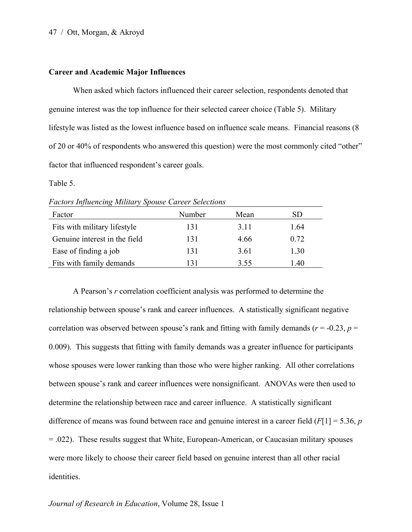#### **Career and Academic Major Influences**

When asked which factors influenced their career selection, respondents denoted that genuine interest was the top influence for their selected career choice (Table 5). Military lifestyle was listed as the lowest influence based on influence scale means. Financial reasons (8 of 20 or 40% of respondents who answered this question) were the most commonly cited "other" factor that influenced respondent's career goals.

Table 5.

| Factor                        | Number | Mean | SD   |  |  |
|-------------------------------|--------|------|------|--|--|
| Fits with military lifestyle  | 131    | 3.11 | 1.64 |  |  |
| Genuine interest in the field | 131    | 4.66 | 0.72 |  |  |
| Ease of finding a job         | 131    | 3.61 | 1.30 |  |  |
| Fits with family demands      |        | 3.55 | .40  |  |  |

*Factors Influencing Military Spouse Career Selections*

A Pearson's *r* correlation coefficient analysis was performed to determine the relationship between spouse's rank and career influences. A statistically significant negative correlation was observed between spouse's rank and fitting with family demands ( $r = -0.23$ ,  $p =$ 0.009). This suggests that fitting with family demands was a greater influence for participants whose spouses were lower ranking than those who were higher ranking. All other correlations between spouse's rank and career influences were nonsignificant. ANOVAs were then used to determine the relationship between race and career influence. A statistically significant difference of means was found between race and genuine interest in a career field (*F*[1] = 5.36, *p*  = .022). These results suggest that White, European-American, or Caucasian military spouses were more likely to choose their career field based on genuine interest than all other racial identities.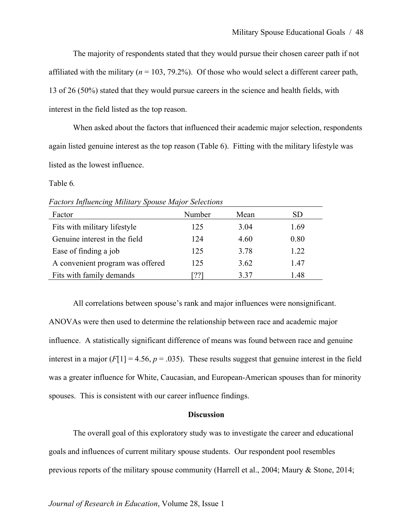The majority of respondents stated that they would pursue their chosen career path if not affiliated with the military  $(n = 103, 79.2\%)$ . Of those who would select a different career path, 13 of 26 (50%) stated that they would pursue careers in the science and health fields, with interest in the field listed as the top reason.

When asked about the factors that influenced their academic major selection, respondents again listed genuine interest as the top reason (Table 6). Fitting with the military lifestyle was listed as the lowest influence.

Table 6*.*

| <b>Factors Influencing Military Spouse Major Selections</b> |
|-------------------------------------------------------------|
|-------------------------------------------------------------|

| Factor                           | Number | Mean | SD   |
|----------------------------------|--------|------|------|
| Fits with military lifestyle     | 125    | 3.04 | 1.69 |
| Genuine interest in the field    | 124    | 4.60 | 0.80 |
| Ease of finding a job            | 125    | 3.78 | 1.22 |
| A convenient program was offered | 125    | 3.62 | 147  |
| Fits with family demands         | 221    | 3 37 | 1.48 |

All correlations between spouse's rank and major influences were nonsignificant. ANOVAs were then used to determine the relationship between race and academic major influence. A statistically significant difference of means was found between race and genuine interest in a major  $(F[1] = 4.56, p = .035)$ . These results suggest that genuine interest in the field was a greater influence for White, Caucasian, and European-American spouses than for minority spouses. This is consistent with our career influence findings.

## **Discussion**

The overall goal of this exploratory study was to investigate the career and educational goals and influences of current military spouse students. Our respondent pool resembles previous reports of the military spouse community (Harrell et al., 2004; Maury & Stone, 2014;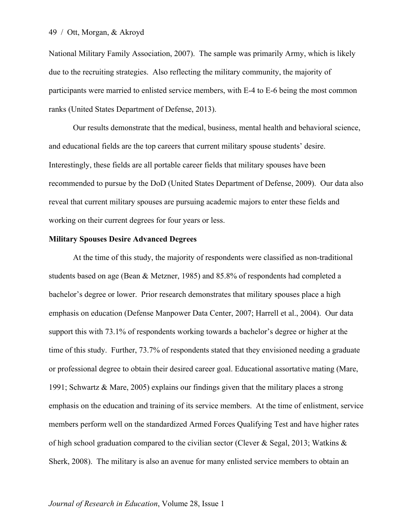National Military Family Association, 2007). The sample was primarily Army, which is likely due to the recruiting strategies. Also reflecting the military community, the majority of participants were married to enlisted service members, with E-4 to E-6 being the most common ranks (United States Department of Defense, 2013).

Our results demonstrate that the medical, business, mental health and behavioral science, and educational fields are the top careers that current military spouse students' desire. Interestingly, these fields are all portable career fields that military spouses have been recommended to pursue by the DoD (United States Department of Defense, 2009). Our data also reveal that current military spouses are pursuing academic majors to enter these fields and working on their current degrees for four years or less.

#### **Military Spouses Desire Advanced Degrees**

At the time of this study, the majority of respondents were classified as non-traditional students based on age (Bean & Metzner, 1985) and 85.8% of respondents had completed a bachelor's degree or lower. Prior research demonstrates that military spouses place a high emphasis on education (Defense Manpower Data Center, 2007; Harrell et al., 2004). Our data support this with 73.1% of respondents working towards a bachelor's degree or higher at the time of this study. Further, 73.7% of respondents stated that they envisioned needing a graduate or professional degree to obtain their desired career goal. Educational assortative mating (Mare, 1991; Schwartz & Mare, 2005) explains our findings given that the military places a strong emphasis on the education and training of its service members. At the time of enlistment, service members perform well on the standardized Armed Forces Qualifying Test and have higher rates of high school graduation compared to the civilian sector (Clever & Segal, 2013; Watkins & Sherk, 2008). The military is also an avenue for many enlisted service members to obtain an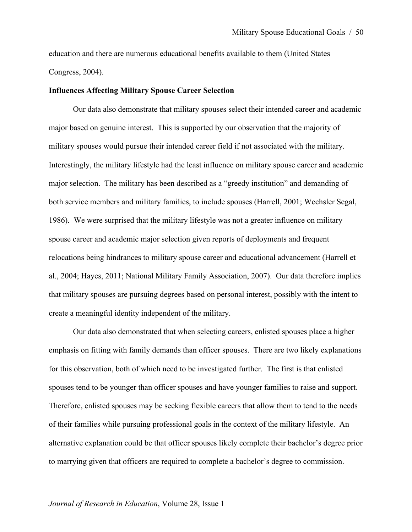education and there are numerous educational benefits available to them (United States Congress, 2004).

#### **Influences Affecting Military Spouse Career Selection**

Our data also demonstrate that military spouses select their intended career and academic major based on genuine interest. This is supported by our observation that the majority of military spouses would pursue their intended career field if not associated with the military. Interestingly, the military lifestyle had the least influence on military spouse career and academic major selection. The military has been described as a "greedy institution" and demanding of both service members and military families, to include spouses (Harrell, 2001; Wechsler Segal, 1986). We were surprised that the military lifestyle was not a greater influence on military spouse career and academic major selection given reports of deployments and frequent relocations being hindrances to military spouse career and educational advancement (Harrell et al., 2004; Hayes, 2011; National Military Family Association, 2007). Our data therefore implies that military spouses are pursuing degrees based on personal interest, possibly with the intent to create a meaningful identity independent of the military.

Our data also demonstrated that when selecting careers, enlisted spouses place a higher emphasis on fitting with family demands than officer spouses. There are two likely explanations for this observation, both of which need to be investigated further. The first is that enlisted spouses tend to be younger than officer spouses and have younger families to raise and support. Therefore, enlisted spouses may be seeking flexible careers that allow them to tend to the needs of their families while pursuing professional goals in the context of the military lifestyle. An alternative explanation could be that officer spouses likely complete their bachelor's degree prior to marrying given that officers are required to complete a bachelor's degree to commission.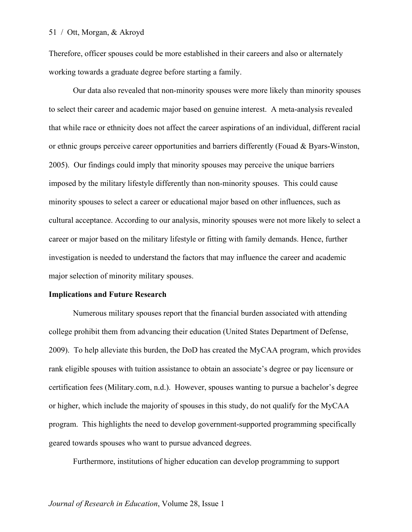Therefore, officer spouses could be more established in their careers and also or alternately working towards a graduate degree before starting a family.

Our data also revealed that non-minority spouses were more likely than minority spouses to select their career and academic major based on genuine interest. A meta-analysis revealed that while race or ethnicity does not affect the career aspirations of an individual, different racial or ethnic groups perceive career opportunities and barriers differently (Fouad & Byars-Winston, 2005). Our findings could imply that minority spouses may perceive the unique barriers imposed by the military lifestyle differently than non-minority spouses. This could cause minority spouses to select a career or educational major based on other influences, such as cultural acceptance. According to our analysis, minority spouses were not more likely to select a career or major based on the military lifestyle or fitting with family demands. Hence, further investigation is needed to understand the factors that may influence the career and academic major selection of minority military spouses.

#### **Implications and Future Research**

Numerous military spouses report that the financial burden associated with attending college prohibit them from advancing their education (United States Department of Defense, 2009). To help alleviate this burden, the DoD has created the MyCAA program, which provides rank eligible spouses with tuition assistance to obtain an associate's degree or pay licensure or certification fees (Military.com, n.d.). However, spouses wanting to pursue a bachelor's degree or higher, which include the majority of spouses in this study, do not qualify for the MyCAA program. This highlights the need to develop government-supported programming specifically geared towards spouses who want to pursue advanced degrees.

Furthermore, institutions of higher education can develop programming to support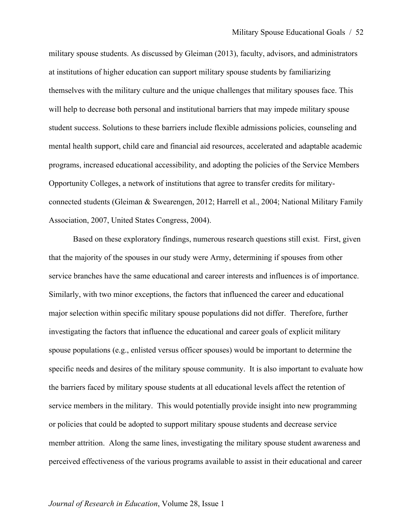military spouse students. As discussed by Gleiman (2013), faculty, advisors, and administrators at institutions of higher education can support military spouse students by familiarizing themselves with the military culture and the unique challenges that military spouses face. This will help to decrease both personal and institutional barriers that may impede military spouse student success. Solutions to these barriers include flexible admissions policies, counseling and mental health support, child care and financial aid resources, accelerated and adaptable academic programs, increased educational accessibility, and adopting the policies of the Service Members Opportunity Colleges, a network of institutions that agree to transfer credits for militaryconnected students (Gleiman & Swearengen, 2012; Harrell et al., 2004; National Military Family Association, 2007, United States Congress, 2004).

Based on these exploratory findings, numerous research questions still exist. First, given that the majority of the spouses in our study were Army, determining if spouses from other service branches have the same educational and career interests and influences is of importance. Similarly, with two minor exceptions, the factors that influenced the career and educational major selection within specific military spouse populations did not differ. Therefore, further investigating the factors that influence the educational and career goals of explicit military spouse populations (e.g., enlisted versus officer spouses) would be important to determine the specific needs and desires of the military spouse community. It is also important to evaluate how the barriers faced by military spouse students at all educational levels affect the retention of service members in the military. This would potentially provide insight into new programming or policies that could be adopted to support military spouse students and decrease service member attrition. Along the same lines, investigating the military spouse student awareness and perceived effectiveness of the various programs available to assist in their educational and career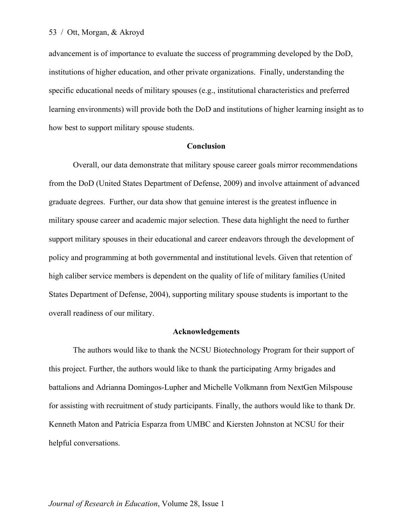advancement is of importance to evaluate the success of programming developed by the DoD, institutions of higher education, and other private organizations. Finally, understanding the specific educational needs of military spouses (e.g., institutional characteristics and preferred learning environments) will provide both the DoD and institutions of higher learning insight as to how best to support military spouse students.

#### **Conclusion**

Overall, our data demonstrate that military spouse career goals mirror recommendations from the DoD (United States Department of Defense, 2009) and involve attainment of advanced graduate degrees. Further, our data show that genuine interest is the greatest influence in military spouse career and academic major selection. These data highlight the need to further support military spouses in their educational and career endeavors through the development of policy and programming at both governmental and institutional levels. Given that retention of high caliber service members is dependent on the quality of life of military families (United States Department of Defense, 2004), supporting military spouse students is important to the overall readiness of our military.

#### **Acknowledgements**

The authors would like to thank the NCSU Biotechnology Program for their support of this project. Further, the authors would like to thank the participating Army brigades and battalions and Adrianna Domingos-Lupher and Michelle Volkmann from NextGen Milspouse for assisting with recruitment of study participants. Finally, the authors would like to thank Dr. Kenneth Maton and Patricia Esparza from UMBC and Kiersten Johnston at NCSU for their helpful conversations.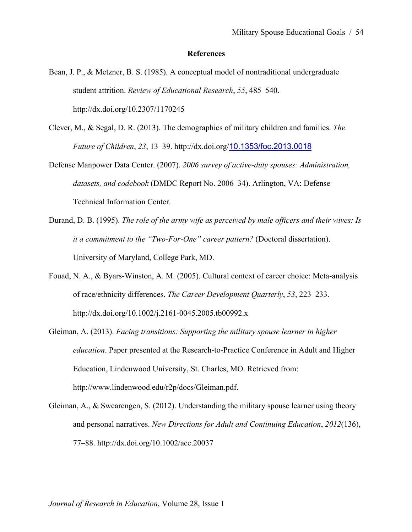#### **References**

- Bean, J. P., & Metzner, B. S. (1985). A conceptual model of nontraditional undergraduate student attrition. *Review of Educational Research*, *55*, 485–540. http://dx.doi.org/10.2307/1170245
- Clever, M., & Segal, D. R. (2013). The demographics of military children and families. *The Future of Children*, *23*, 13–39. http://dx.doi.org/10.1353/foc.2013.0018
- Defense Manpower Data Center. (2007). *2006 survey of active-duty spouses: Administration, datasets, and codebook* (DMDC Report No. 2006–34). Arlington, VA: Defense Technical Information Center.
- Durand, D. B. (1995). *The role of the army wife as perceived by male officers and their wives: Is it a commitment to the "Two-For-One" career pattern?* (Doctoral dissertation). University of Maryland, College Park, MD.
- Fouad, N. A., & Byars-Winston, A. M. (2005). Cultural context of career choice: Meta-analysis of race/ethnicity differences. *The Career Development Quarterly*, *53*, 223–233. http://dx.doi.org/10.1002/j.2161-0045.2005.tb00992.x
- Gleiman, A. (2013). *Facing transitions: Supporting the military spouse learner in higher education*. Paper presented at the Research-to-Practice Conference in Adult and Higher Education, Lindenwood University, St. Charles, MO. Retrieved from: http://www.lindenwood.edu/r2p/docs/Gleiman.pdf.
- Gleiman, A., & Swearengen, S. (2012). Understanding the military spouse learner using theory and personal narratives. *New Directions for Adult and Continuing Education*, *2012*(136), 77–88. http://dx.doi.org/10.1002/ace.20037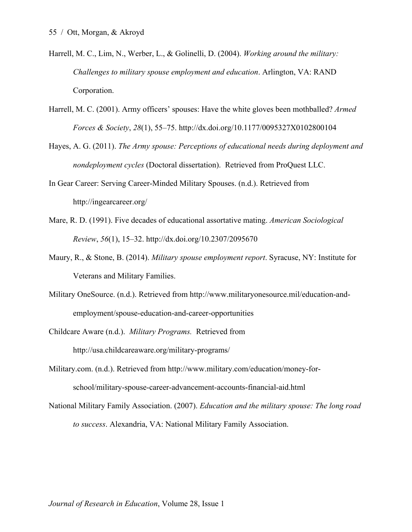- Harrell, M. C., Lim, N., Werber, L., & Golinelli, D. (2004). *Working around the military: Challenges to military spouse employment and education*. Arlington, VA: RAND Corporation.
- Harrell, M. C. (2001). Army officers' spouses: Have the white gloves been mothballed? *Armed Forces & Society*, *28*(1), 55–75. http://dx.doi.org/10.1177/0095327X0102800104
- Hayes, A. G. (2011). *The Army spouse: Perceptions of educational needs during deployment and nondeployment cycles* (Doctoral dissertation). Retrieved from ProQuest LLC.
- In Gear Career: Serving Career-Minded Military Spouses. (n.d.). Retrieved from http://ingearcareer.org/
- Mare, R. D. (1991). Five decades of educational assortative mating. *American Sociological Review*, *56*(1), 15–32. http://dx.doi.org/10.2307/2095670
- Maury, R., & Stone, B. (2014). *Military spouse employment report*. Syracuse, NY: Institute for Veterans and Military Families.
- Military OneSource. (n.d.). Retrieved from http://www.militaryonesource.mil/education-andemployment/spouse-education-and-career-opportunities
- Childcare Aware (n.d.). *Military Programs.* Retrieved from http://usa.childcareaware.org/military-programs/
- Military.com. (n.d.). Retrieved from http://www.military.com/education/money-forschool/military-spouse-career-advancement-accounts-financial-aid.html
- National Military Family Association. (2007). *Education and the military spouse: The long road to success*. Alexandria, VA: National Military Family Association.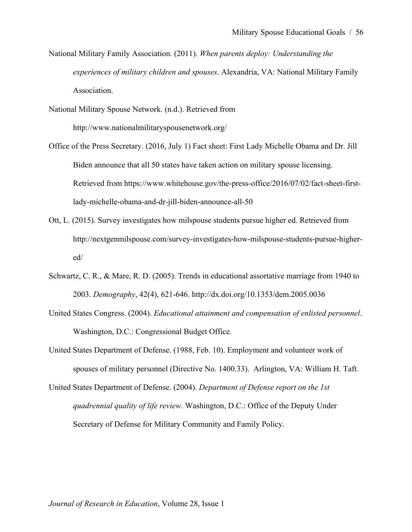National Military Family Association. (2011). *When parents deploy: Understanding the experiences of military children and spouses*. Alexandria, VA: National Military Family Association.

National Military Spouse Network. (n.d.). Retrieved from http://www.nationalmilitaryspousenetwork.org/

- Office of the Press Secretary. (2016, July 1) Fact sheet: First Lady Michelle Obama and Dr. Jill Biden announce that all 50 states have taken action on military spouse licensing. Retrieved from https://www.whitehouse.gov/the-press-office/2016/07/02/fact-sheet-firstlady-michelle-obama-and-dr-jill-biden-announce-all-50
- Ott, L. (2015). Survey investigates how milspouse students pursue higher ed. Retrieved from http://nextgenmilspouse.com/survey-investigates-how-milspouse-students-pursue-highered/
- Schwartz, C. R., & Mare, R. D. (2005). Trends in educational assortative marriage from 1940 to 2003. *Demography*, 42(4), 621-646. http://dx.doi.org/10.1353/dem.2005.0036
- United States Congress. (2004). *Educational attainment and compensation of enlisted personnel*. Washington, D.C.: Congressional Budget Office.
- United States Department of Defense. (1988, Feb. 10). Employment and volunteer work of spouses of military personnel (Directive No. 1400.33). Arlington, VA: William H. Taft.
- United States Department of Defense. (2004). *Department of Defense report on the 1st quadrennial quality of life review*. Washington, D.C.: Office of the Deputy Under Secretary of Defense for Military Community and Family Policy.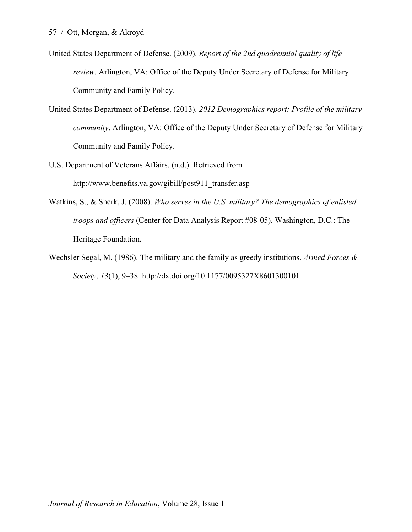- United States Department of Defense. (2009). *Report of the 2nd quadrennial quality of life review*. Arlington, VA: Office of the Deputy Under Secretary of Defense for Military Community and Family Policy.
- United States Department of Defense. (2013). *2012 Demographics report: Profile of the military community*. Arlington, VA: Office of the Deputy Under Secretary of Defense for Military Community and Family Policy.
- U.S. Department of Veterans Affairs. (n.d.). Retrieved from http://www.benefits.va.gov/gibill/post911\_transfer.asp
- Watkins, S., & Sherk, J. (2008). *Who serves in the U.S. military? The demographics of enlisted troops and officers* (Center for Data Analysis Report #08-05). Washington, D.C.: The Heritage Foundation.
- Wechsler Segal, M. (1986). The military and the family as greedy institutions. *Armed Forces & Society*, *13*(1), 9–38. http://dx.doi.org/10.1177/0095327X8601300101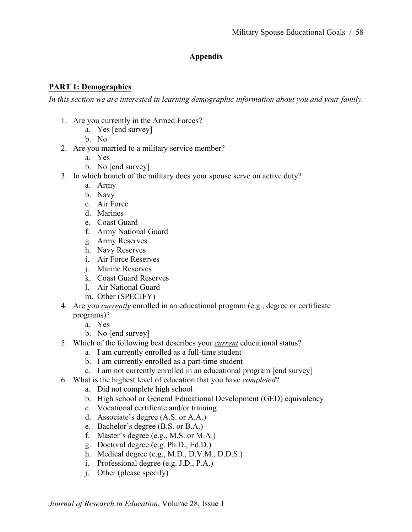# **Appendix**

# **PART 1: Demographics**

*In this section we are interested in learning demographic information about you and your family.* 

- 1. Are you currently in the Armed Forces?
	- a. Yes [end survey]
	- b. No
- 2. Are you married to a military service member?
	- a. Yes
	- b. No [end survey]
- 3. In which branch of the military does your spouse serve on active duty?
	- a. Army
	- b. Navy
	- c. Air Force
	- d. Marines
	- e. Coast Guard
	- f. Army National Guard
	- g. Army Reserves
	- h. Navy Reserves
	- i. Air Force Reserves
	- j. Marine Reserves
	- k. Coast Guard Reserves
	- l. Air National Guard
	- m. Other (SPECIFY)
- 4. Are you *currently* enrolled in an educational program (e.g., degree or certificate programs)?
	- a. Yes
	- b. No [end survey]
- 5. Which of the following best describes your *current* educational status?
	- a. I am currently enrolled as a full-time student
	- b. I am currently enrolled as a part-time student
	- c. I am not currently enrolled in an educational program [end survey]
- 6. What is the highest level of education that you have *completed*?
	- a. Did not complete high school
	- b. High school or General Educational Development (GED) equivalency
	- c. Vocational certificate and/or training
	- d. Associate's degree (A.S. or A.A.)
	- e. Bachelor's degree (B.S. or B.A.)
	- f. Master's degree (e.g., M.S. or M.A.)
	- g. Doctoral degree (e.g. Ph.D., Ed.D.)
	- h. Medical degree (e.g., M.D., D.V.M., D.D.S.)
	- i. Professional degree (e.g. J.D., P.A.)
	- j. Other (please specify)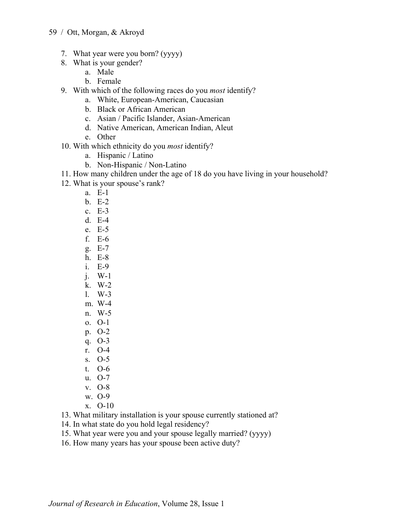- 7. What year were you born? (yyyy)
- 8. What is your gender?
	- a. Male
	- b. Female
- 9. With which of the following races do you *most* identify?
	- a. White, European-American, Caucasian
	- b. Black or African American
	- c. Asian / Pacific Islander, Asian-American
	- d. Native American, American Indian, Aleut
	- e. Other
- 10. With which ethnicity do you *most* identify?
	- a. Hispanic / Latino
	- b. Non-Hispanic / Non-Latino
- 11. How many children under the age of 18 do you have living in your household?
- 12. What is your spouse's rank?
	- a. E-1
	- b. E-2
	- c. E-3
	- d. E-4
	- e. E-5
	- f. E-6
	- g. E-7
	- h. E-8
	- i. E-9
	- j. W-1
	- k. W-2
	- l. W-3
	- m. W-4
	- n. W-5
	- o. O-1
	- p. O-2
	- q. O-3
	- r. O-4
	- s. O-5
	- t. O-6
	- u. O-7
	- v. O-8
	- w. O-9
	- x. O-10

13. What military installation is your spouse currently stationed at?

14. In what state do you hold legal residency?

15. What year were you and your spouse legally married? (yyyy)

16. How many years has your spouse been active duty?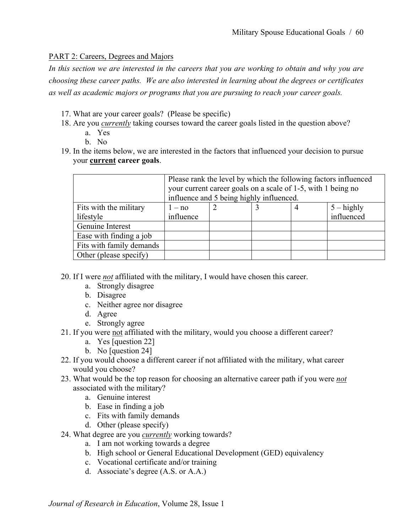# PART 2: Careers, Degrees and Majors

*In this section we are interested in the careers that you are working to obtain and why you are choosing these career paths. We are also interested in learning about the degrees or certificates as well as academic majors or programs that you are pursuing to reach your career goals.*

- 17. What are your career goals? (Please be specific)
- 18. Are you *currently* taking courses toward the career goals listed in the question above?
	- a. Yes
	- b. No
- 19. In the items below, we are interested in the factors that influenced your decision to pursue your **current career goals**.

|                          | Please rank the level by which the following factors influenced<br>your current career goals on a scale of 1-5, with 1 being no<br>influence and 5 being highly influenced. |  |  |  |              |
|--------------------------|-----------------------------------------------------------------------------------------------------------------------------------------------------------------------------|--|--|--|--------------|
| Fits with the military   | $1 - no$                                                                                                                                                                    |  |  |  | $5 -$ highly |
| lifestyle                | influence                                                                                                                                                                   |  |  |  | influenced   |
| Genuine Interest         |                                                                                                                                                                             |  |  |  |              |
| Ease with finding a job  |                                                                                                                                                                             |  |  |  |              |
| Fits with family demands |                                                                                                                                                                             |  |  |  |              |
| Other (please specify)   |                                                                                                                                                                             |  |  |  |              |

20. If I were *not* affiliated with the military, I would have chosen this career.

- a. Strongly disagree
- b. Disagree
- c. Neither agree nor disagree
- d. Agree
- e. Strongly agree
- 21. If you were not affiliated with the military, would you choose a different career?
	- a. Yes [question 22]
	- b. No [question 24]
- 22. If you would choose a different career if not affiliated with the military, what career would you choose?
- 23. What would be the top reason for choosing an alternative career path if you were *not* associated with the military?
	- a. Genuine interest
	- b. Ease in finding a job
	- c. Fits with family demands
	- d. Other (please specify)
- 24. What degree are you *currently* working towards?
	- a. I am not working towards a degree
	- b. High school or General Educational Development (GED) equivalency
	- c. Vocational certificate and/or training
	- d. Associate's degree (A.S. or A.A.)